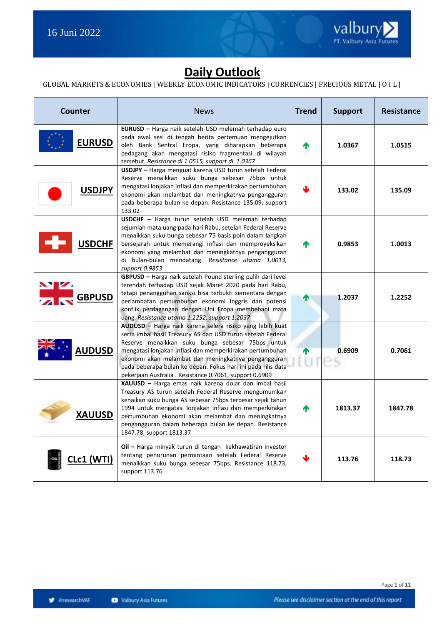

### **Daily Outlook**

#### GLOBAL MARKETS & ECONOMIES | WEEKLY ECONOMIC INDICATORS | CURRENCIES | PRECIOUS METAL | O I L |

| Counter                                    | <b>News</b>                                                                                                                                                                                                                                                                                                                                                                                                              | <b>Trend</b> | <b>Support</b> | <b>Resistance</b> |
|--------------------------------------------|--------------------------------------------------------------------------------------------------------------------------------------------------------------------------------------------------------------------------------------------------------------------------------------------------------------------------------------------------------------------------------------------------------------------------|--------------|----------------|-------------------|
| <b>EURUSD</b>                              | EURUSD - Harga naik setelah USD melemah terhadap euro<br>pada awal sesi di tengah berita pertemuan mengejutkan<br>oleh Bank Sentral Eropa, yang diharapkan beberapa<br>pedagang akan mengatasi risiko fragmentasi di wilayah<br>tersebut. Resistance di 1.0515, support di 1.0367                                                                                                                                        | 小            | 1.0367         | 1.0515            |
| <b>USDJPY</b>                              | USDJPY - Harga menguat karena USD turun setelah Federal<br>Reserve menaikkan suku bunga sebesar 75bps untuk<br>mengatasi lonjakan inflasi dan memperkirakan pertumbuhan<br>ekonomi akan melambat dan meningkatnya pengangguran<br>pada beberapa bulan ke depan. Resistance 135.09, support<br>133.02                                                                                                                     |              | 133.02         | 135.09            |
| <b>USDCHF</b>                              | USDCHF - Harga turun setelah USD melemah terhadap<br>sejumlah mata uang pada hari Rabu, setelah Federal Reserve<br>menaikkan suku bunga sebesar 75 basis poin dalam langkah<br>bersejarah untuk memerangi inflasi dan memproyeksikan<br>ekonomi yang melambat dan meningkatnya pengangguran<br>di bulan-bulan mendatang. Resistance utama 1.0013,<br>support 0.9853                                                      | ⋔            | 0.9853         | 1.0013            |
| $\mathbf{N}$ $\mathbf{Z}$<br><b>GBPUSD</b> | GBPUSD - Harga naik setelah Pound sterling pulih dari level<br>terendah terhadap USD sejak Maret 2020 pada hari Rabu,<br>tetapi penangguhan sanksi bisa terbukti sementara dengan<br>perlambatan pertumbuhan ekonomi Inggris dan potensi<br>konflik perdagangan dengan Uni Eropa membebani mata<br>uang. Resistance utama 1.2252, support 1.2037                                                                         | Т            | 1.2037         | 1.2252            |
| <b>AUDUSD</b>                              | AUDUSD - Harga naik karena selera risiko yang lebih kuat<br>serta imbal hasil Treasury AS dan USD turun setelah Federal<br>Reserve menaikkan suku bunga sebesar 75bps untuk<br>mengatasi lonjakan inflasi dan memperkirakan pertumbuhan<br>ekonomi akan melambat dan meningkatnya pengangguran<br>pada beberapa bulan ke depan. Fokus hari ini pada rilis data<br>pekerjaan Australia. Resistance 0.7061, support 0.6909 | ⋔<br>tures   | 0.6909         | 0.7061            |
| <b>XAUUSD</b>                              | XAUUSD - Harga emas naik karena dolar dan imbal hasil<br>Treasury AS turun setelah Federal Reserve mengumumkan<br>kenaikan suku bunga AS sebesar 75bps terbesar sejak tahun<br>1994 untuk mengatasi lonjakan inflasi dan memperkirakan<br>pertumbuhan ekonomi akan melambat dan meningkatnya<br>pengangguran dalam beberapa bulan ke depan. Resistance<br>1847.78, support 1813.37                                       | Λ            | 1813.37        | 1847.78           |
| <u>.c1 (WTI)</u>                           | Oil - Harga minyak turun di tengah kekhawatiran investor<br>tentang penurunan permintaan setelah Federal Reserve<br>menaikkan suku bunga sebesar 75bps. Resistance 118.73,<br>support 113.76                                                                                                                                                                                                                             |              | 113.76         | 118.73            |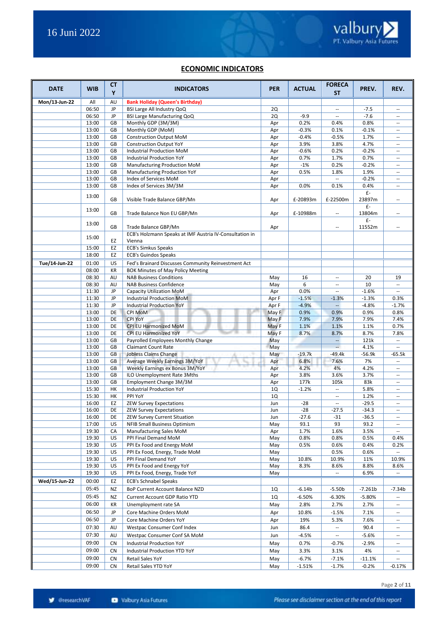#### **ECONOMIC INDICATORS**

| <b>DATE</b>   | <b>WIB</b>     | <b>CT</b><br>Y | <b>INDICATORS</b>                                                 | <b>PER</b> | <b>ACTUAL</b>   | <b>FORECA</b><br><b>ST</b>                           | PREV.           | REV.                                                 |
|---------------|----------------|----------------|-------------------------------------------------------------------|------------|-----------------|------------------------------------------------------|-----------------|------------------------------------------------------|
| Mon/13-Jun-22 | All            | AU             | <b>Bank Holiday (Queen's Birthday)</b>                            |            |                 |                                                      |                 |                                                      |
|               | 06:50          | JP             | BSI Large All Industry QoQ                                        | 2Q         |                 | $\overline{\phantom{a}}$                             | $-7.5$          | $\sim$                                               |
|               | 06:50          | JP             | BSI Large Manufacturing QoQ                                       | 2Q         | $-9.9$          | $\overline{\phantom{a}}$                             | $-7.6$          | $\overline{\phantom{a}}$                             |
|               | 13:00          | GB             | Monthly GDP (3M/3M)                                               | Apr        | 0.2%            | 0.4%                                                 | 0.8%            |                                                      |
|               | 13:00          | GB             | Monthly GDP (MoM)                                                 | Apr        | $-0.3%$         | 0.1%                                                 | $-0.1%$         | $\sim$ $\sim$                                        |
|               | 13:00          | GB             | <b>Construction Output MoM</b>                                    | Apr        | $-0.4%$         | $-0.5%$                                              | 1.7%            | $\sim$                                               |
|               | 13:00<br>13:00 | GB<br>GB       | <b>Construction Output YoY</b><br>Industrial Production MoM       | Apr<br>Apr | 3.9%<br>$-0.6%$ | 3.8%<br>0.2%                                         | 4.7%<br>$-0.2%$ | $\overline{\phantom{a}}$<br>$\overline{\phantom{a}}$ |
|               | 13:00          | GB             | <b>Industrial Production YoY</b>                                  | Apr        | 0.7%            | 1.7%                                                 | 0.7%            | $\sim$                                               |
|               | 13:00          | GB             | Manufacturing Production MoM                                      | Apr        | $-1%$           | 0.2%                                                 | $-0.2%$         | $\sim$ $\sim$                                        |
|               | 13:00          | GB             | Manufacturing Production YoY                                      | Apr        | 0.5%            | 1.8%                                                 | 1.9%            | $\overline{\phantom{a}}$                             |
|               | 13:00          | GB             | Index of Services MoM                                             | Apr        |                 | $\overline{\phantom{a}}$                             | $-0.2%$         | $\overline{\phantom{a}}$                             |
|               | 13:00          | GB             | Index of Services 3M/3M                                           | Apr        | 0.0%            | 0.1%                                                 | 0.4%            | $\sim$                                               |
|               | 13:00          | GB             | Visible Trade Balance GBP/Mn                                      | Apr        | £-20893m        | £-22500m                                             | £-<br>23897m    | $\overline{\phantom{a}}$                             |
|               | 13:00          | GB             | Trade Balance Non EU GBP/Mn                                       | Apr        | £-10988m        | --                                                   | £-<br>13804m    | $\sim$                                               |
|               | 13:00          | GB             | Trade Balance GBP/Mn                                              | Apr        |                 | $\overline{\phantom{a}}$                             | $f -$<br>11552m | $\hspace{0.05cm} \ldots$                             |
|               | 15:00          | EZ             | ECB's Holzmann Speaks at IMF Austria IV-Consultation in<br>Vienna |            |                 |                                                      |                 |                                                      |
|               | 15:00          | EZ             | <b>ECB's Simkus Speaks</b>                                        |            |                 |                                                      |                 |                                                      |
|               | 18:00          | EZ             | <b>ECB's Guindos Speaks</b>                                       |            |                 |                                                      |                 |                                                      |
| Tue/14-Jun-22 | 01:00          | US             | Fed's Brainard Discusses Community Reinvestment Act               |            |                 |                                                      |                 |                                                      |
|               | 08:00          | KR             | BOK Minutes of May Policy Meeting                                 |            |                 |                                                      |                 |                                                      |
|               | 08:30          | AU             | <b>NAB Business Conditions</b>                                    | May        | 16              | $\overline{\phantom{a}}$                             | 20              | 19                                                   |
|               | 08:30<br>11:30 | AU<br>JP       | <b>NAB Business Confidence</b>                                    | May<br>Apr | 6<br>0.0%       | $\overline{\phantom{a}}$<br>$\overline{\phantom{a}}$ | 10<br>$-1.6%$   | $\sim$ $\sim$<br>$\mathcal{L}_{\mathcal{A}}$         |
|               | 11:30          | JP             | Capacity Utilization MoM<br>Industrial Production MoM             | Apr F      | $-1.5%$         | $-1.3%$                                              | $-1.3%$         | 0.3%                                                 |
|               | 11:30          | JP             | <b>Industrial Production YoY</b>                                  | Apr F      | $-4.9%$         |                                                      | $-4.8%$         | $-1.7%$                                              |
|               | 13:00          | DE             | CPI MoM                                                           | May F      | 0.9%            | 0.9%                                                 | 0.9%            | 0.8%                                                 |
|               | 13:00          | DE             | <b>CPI YoY</b>                                                    | May F      | 7.9%            | 7.9%                                                 | 7.9%            | 7.4%                                                 |
|               | 13:00          | DE             | CPI EU Harmonized MoM                                             | May F      | 1.1%            | 1.1%                                                 | 1.1%            | 0.7%                                                 |
|               | 13:00          | DE             | CPI EU Harmonized YoY                                             | May F      | 8.7%            | 8.7%                                                 | 8.7%            | 7.8%                                                 |
|               | 13:00          | GB             | Payrolled Employees Monthly Change                                | May        |                 | $\overline{\phantom{a}}$                             | 121k            | $\mathbb{Z}^2$                                       |
|               | 13:00          | GB             | <b>Claimant Count Rate</b>                                        | May        |                 | $\sim$                                               | 4.1%            | $\overline{\phantom{a}}$                             |
|               | 13:00          | GB             | Jobless Claims Change                                             | May        | $-19.7k$        | $-49.4k$                                             | $-56.9k$        | $-65.5k$                                             |
|               | 13:00          | GB             | Average Weekly Earnings 3M/YoY                                    | Apr        | 6.8%            | 7.6%                                                 | 7%              | $\overline{\phantom{a}}$                             |
|               | 13:00          | GB             | Weekly Earnings ex Bonus 3M/YoY                                   | Apr        | 4.2%            | 4%                                                   | 4.2%            | $\sim$                                               |
|               | 13:00          | GB             | ILO Unemployment Rate 3Mths                                       | Apr        | 3.8%            | 3.6%                                                 | 3.7%            | $\overline{\phantom{a}}$                             |
|               | 13:00<br>15:30 | GB<br>HК       | Employment Change 3M/3M<br><b>Industrial Production YoY</b>       | Apr<br>1Q  | 177k<br>$-1.2%$ | 105k<br>$\overline{\phantom{a}}$                     | 83k<br>5.8%     | $\overline{\phantom{a}}$<br>$\overline{\phantom{a}}$ |
|               | 15:30          | HК             | PPI YoY                                                           | 1Q         |                 | $\overline{\phantom{a}}$                             | 1.2%            | $\sim$                                               |
|               | 16:00          | EZ             | <b>ZEW Survey Expectations</b>                                    | Jun        | $-28$           | $\overline{\phantom{a}}$                             | $-29.5$         | $\sim$                                               |
|               | 16:00          | DE             | <b>ZEW Survey Expectations</b>                                    | Jun        | $-28$           | $-27.5$                                              | $-34.3$         | $\overline{\phantom{a}}$                             |
|               | 16:00          | DE             | ZEW Survey Current Situation                                      | Jun        | $-27.6$         | $-31$                                                | $-36.5$         | $\overline{\phantom{a}}$                             |
|               | 17:00          | US             | <b>NFIB Small Business Optimism</b>                               | May        | 93.1            | 93                                                   | 93.2            | $\hspace{0.05cm} \ldots$                             |
|               | 19:30          | СA             | Manufacturing Sales MoM                                           | Apr        | 1.7%            | 1.6%                                                 | 3.5%            | $\overline{\phantom{a}}$                             |
|               | 19:30          | US             | PPI Final Demand MoM                                              | May        | 0.8%            | 0.8%                                                 | 0.5%            | 0.4%                                                 |
|               | 19:30          | US             | PPI Ex Food and Energy MoM                                        | May        | 0.5%            | 0.6%                                                 | 0.4%            | 0.2%                                                 |
|               | 19:30          | US             | PPI Ex Food, Energy, Trade MoM                                    | May        |                 | 0.5%                                                 | 0.6%            |                                                      |
|               | 19:30          | US             | PPI Final Demand YoY                                              | May        | 10.8%           | 10.9%                                                | 11%             | 10.9%                                                |
|               | 19:30<br>19:30 | US<br>US       | PPI Ex Food and Energy YoY<br>PPI Ex Food, Energy, Trade YoY      | May<br>May | 8.3%            | 8.6%<br>$\overline{\phantom{a}}$                     | 8.8%<br>6.9%    | 8.6%<br>$\overline{\phantom{a}}$                     |
|               |                |                |                                                                   |            |                 |                                                      |                 |                                                      |
| Wed/15-Jun-22 | 00:00          | EZ             | <b>ECB's Schnabel Speaks</b>                                      |            |                 |                                                      |                 |                                                      |
|               | 05:45          | ΝZ             | BoP Current Account Balance NZD                                   | 1Q         | $-6.14b$        | $-5.50b$                                             | -7.261b         | $-7.34b$                                             |
|               | 05:45          | ΝZ             | Current Account GDP Ratio YTD                                     | 1Q         | $-6.50%$        | $-6.30%$                                             | $-5.80%$        |                                                      |
|               | 06:00          | KR             | Unemployment rate SA                                              | May<br>Apr | 2.8%            | 2.7%                                                 | 2.7%            | $\overline{\phantom{a}}$                             |
|               | 06:50          | JP             | Core Machine Orders MoM                                           |            | 10.8%           | $-1.5%$                                              | 7.1%            | $\overline{\phantom{a}}$                             |
|               | 06:50          | JP             | Core Machine Orders YoY                                           | Apr        | 19%             | 5.3%                                                 | 7.6%            | $\overline{\phantom{a}}$                             |
|               | 07:30          | AU             | Westpac Consumer Conf Index                                       | Jun        | 86.4            |                                                      | 90.4            | $\overline{\phantom{a}}$                             |
|               | 07:30          | AU             | Westpac Consumer Conf SA MoM                                      | Jun        | $-4.5%$         | $\overline{\phantom{a}}$                             | $-5.6%$         | $\overline{\phantom{a}}$                             |
|               | 09:00          | CN             | Industrial Production YoY                                         | May        | 0.7%            | $-0.7%$                                              | $-2.9%$         | $\overline{\phantom{a}}$                             |
|               | 09:00          | CN             | Industrial Production YTD YoY                                     | May        | 3.3%            | 3.1%                                                 | 4%              | $\overline{\phantom{a}}$                             |
|               | 09:00          | CN             | Retail Sales YoY                                                  | May        | $-6.7%$         | $-7.1%$                                              | $-11.1%$        | $\overline{\phantom{a}}$                             |
|               | 09:00          | CN             | Retail Sales YTD YoY                                              | May        | $-1.51%$        | $-1.7%$                                              | $-0.2%$         | $-0.17%$                                             |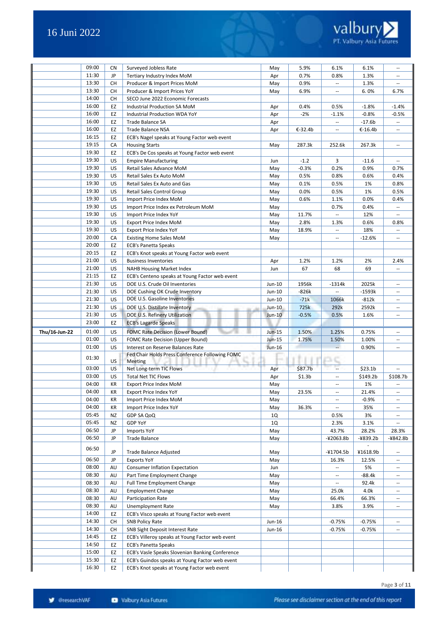|               | 09:00 | CN | Surveyed Jobless Rate                           | May      | 5.9%               | 6.1%                     | 6.1%                 | $\overline{\phantom{a}}$                            |
|---------------|-------|----|-------------------------------------------------|----------|--------------------|--------------------------|----------------------|-----------------------------------------------------|
|               | 11:30 | JP | Tertiary Industry Index MoM                     | Apr      | 0.7%               | 0.8%                     | 1.3%                 | $\overline{\phantom{a}}$                            |
|               | 13:30 | СH | Producer & Import Prices MoM                    | May      | 0.9%               | $\overline{\phantom{a}}$ | 1.3%                 | $\overline{\phantom{a}}$                            |
|               | 13:30 | СH | Producer & Import Prices YoY                    | May      | 6.9%               | $\overline{\phantom{a}}$ | 6.0%                 | 6.7%                                                |
|               | 14:00 | CH | SECO June 2022 Economic Forecasts               |          |                    |                          |                      |                                                     |
|               | 16:00 | EZ | Industrial Production SA MoM                    | Apr      | 0.4%               | 0.5%                     | $-1.8%$              | $-1.4%$                                             |
|               | 16:00 | EZ | Industrial Production WDA YoY                   | Apr      | $-2%$              | $-1.1%$                  | $-0.8%$              | $-0.5%$                                             |
|               | 16:00 | EZ | Trade Balance SA                                | Apr      |                    | $\overline{\phantom{a}}$ | $-17.6b$             | $\overline{\phantom{a}}$                            |
|               | 16:00 | EZ | Trade Balance NSA                               | Apr      | €-32.4b            | $\mathbf{u}$             | €-16.4b              | $\sim$                                              |
|               | 16:15 | EZ |                                                 |          |                    |                          |                      |                                                     |
|               | 19:15 | СA | ECB's Nagel speaks at Young Factor web event    |          | 287.3k             | 252.6k                   | 267.3k               | $\sim$                                              |
|               | 19:30 |    | <b>Housing Starts</b>                           | May      |                    |                          |                      |                                                     |
|               |       | EZ | ECB's De Cos speaks at Young Factor web event   |          |                    |                          |                      |                                                     |
|               | 19:30 | US | <b>Empire Manufacturing</b>                     | Jun      | $-1.2$             | 3                        | $-11.6$              | $\overline{\phantom{a}}$                            |
|               | 19:30 | US | Retail Sales Advance MoM                        | May      | $-0.3%$            | 0.2%                     | 0.9%                 | 0.7%                                                |
|               | 19:30 | US | Retail Sales Ex Auto MoM                        | May      | 0.5%               | 0.8%                     | 0.6%                 | 0.4%                                                |
|               | 19:30 | US | Retail Sales Ex Auto and Gas                    | May      | 0.1%               | 0.5%                     | 1%                   | 0.8%                                                |
|               | 19:30 | US | Retail Sales Control Group                      | May      | 0.0%               | 0.5%                     | 1%                   | 0.5%                                                |
|               | 19:30 | US | Import Price Index MoM                          | May      | 0.6%               | 1.1%                     | 0.0%                 | 0.4%                                                |
|               | 19:30 | US | Import Price Index ex Petroleum MoM             | May      |                    | 0.7%                     | 0.4%                 | $\overline{\phantom{a}}$                            |
|               | 19:30 | US | Import Price Index YoY                          | May      | 11.7%              | $\overline{\phantom{a}}$ | 12%                  | $\overline{\phantom{a}}$                            |
|               | 19:30 | US | <b>Export Price Index MoM</b>                   | May      | 2.8%               | 1.3%                     | 0.6%                 | 0.8%                                                |
|               | 19:30 | US | <b>Export Price Index YoY</b>                   | May      | 18.9%              | $\overline{\phantom{a}}$ | 18%                  |                                                     |
|               | 20:00 | СA | <b>Existing Home Sales MoM</b>                  | May      |                    | $\overline{\phantom{a}}$ | $-12.6%$             | $\overline{\phantom{a}}$                            |
|               | 20:00 | EZ | <b>ECB's Panetta Speaks</b>                     |          |                    |                          |                      |                                                     |
|               | 20:15 | EZ | ECB's Knot speaks at Young Factor web event     |          |                    |                          |                      |                                                     |
|               | 21:00 | US | <b>Business Inventories</b>                     | Apr      | 1.2%               | 1.2%                     | 2%                   | 2.4%                                                |
|               | 21:00 | US | <b>NAHB Housing Market Index</b>                | Jun      | 67                 | 68                       | 69                   |                                                     |
|               | 21:15 | EZ | ECB's Centeno speaks at Young Factor web event  |          |                    |                          |                      |                                                     |
|               | 21:30 | US | DOE U.S. Crude Oil Inventories                  | Jun-10   | 1956k              | -1314k                   | 2025k                |                                                     |
|               | 21:30 | US | DOE Cushing OK Crude Inventory                  | Jun-10   | $-826k$            | $\overline{\phantom{a}}$ | $-1593k$             | $\sim$ $\sim$                                       |
|               | 21:30 | US | DOE U.S. Gasoline Inventories                   | Jun-10   | $-71k$             | 1066k                    | $-812k$              | $\hspace{0.05cm} \ldots$                            |
|               | 21:30 | US | DOE U.S. Distillate Inventory                   | Jun-10   | 725k               | 292k                     | 2592k                | $\hspace{0.05cm} \ldots$                            |
|               | 21:30 | US | DOE U.S. Refinery Utilization                   | $Jun-10$ | $-0.5%$            | 0.5%                     | 1.6%                 | $\hspace{0.05cm} -\hspace{0.05cm} -\hspace{0.05cm}$ |
|               | 23:00 | EZ | <b>ECB's Lagarde Speaks</b>                     |          |                    |                          |                      |                                                     |
| Thu/16-Jun-22 | 01:00 | US | <b>FOMC Rate Decision (Lower Bound)</b>         | Jun-15   | 1.50%              | 1.25%                    | 0.75%                | $\sim$ $\sim$                                       |
|               | 01:00 | US | FOMC Rate Decision (Upper Bound)                | Jun-15   | 1.75%              | 1.50%                    | 1.00%                | $\overline{\phantom{a}}$                            |
|               | 01:00 | US | Interest on Reserve Balances Rate               | Jun-16   |                    | $\sim$                   | 0.90%                | $\overline{\phantom{a}}$                            |
|               |       |    | Fed Chair Holds Press Conference Following FOMC |          |                    |                          |                      |                                                     |
|               | 01:30 | US | Meeting                                         |          |                    | зc                       |                      |                                                     |
|               | 03:00 | US | Net Long-term TIC Flows                         | Apr      | \$87.7b            | ш.                       | \$23.1 <sub>b</sub>  |                                                     |
|               | 03:00 | US | <b>Total Net TIC Flows</b>                      | Apr      | \$1.3 <sub>b</sub> | $\overline{\phantom{a}}$ | \$149.2 <sub>b</sub> | \$108.7b                                            |
|               | 04:00 | КR | Export Price Index MoM                          | May      |                    | $\overline{\phantom{a}}$ | 1%                   |                                                     |
|               | 04:00 | KR | Export Price Index YoY                          | May      | 23.5%              | $\mathbf{u}$             | 21.4%                | $\sim$                                              |
|               | 04:00 | KR | Import Price Index MoM                          | May      |                    | $\overline{\phantom{a}}$ | $-0.9%$              | $\overline{\phantom{a}}$                            |
|               | 04:00 | KR | Import Price Index YoY                          | May      | 36.3%              | $\overline{\phantom{a}}$ | 35%                  | $\overline{\phantom{a}}$                            |
|               | 05:45 | NZ | GDP SA QoQ                                      | 1Q       |                    | 0.5%                     | 3%                   | $\overline{\phantom{a}}$                            |
|               | 05:45 | NZ | <b>GDP YoY</b>                                  | 1Q       |                    | 2.3%                     | 3.1%                 | $\overline{\phantom{a}}$                            |
|               | 06:50 | JP | Imports YoY                                     | May      |                    | 43.7%                    | 28.2%                | 28.3%                                               |
|               | 06:50 | JP | <b>Trade Balance</b>                            | May      |                    | $-42063.8b$              | $-4839.2b$           | -¥842.8b                                            |
|               |       |    |                                                 |          |                    |                          |                      |                                                     |
|               | 06:50 | JP | <b>Trade Balance Adjusted</b>                   | May      |                    | -¥1704.5b                | ¥1618.9b             | $\overline{\phantom{a}}$                            |
|               | 06:50 | JP | <b>Exports YoY</b>                              | May      |                    | 16.3%                    | 12.5%                | $\hspace{0.05cm} \ldots$                            |
|               | 08:00 | AU | <b>Consumer Inflation Expectation</b>           | Jun      |                    | $\overline{\phantom{a}}$ | 5%                   | $\overline{\phantom{a}}$                            |
|               | 08:30 | AU | Part Time Employment Change                     | May      |                    | $\overline{\phantom{a}}$ | $-88.4k$             | $\overline{\phantom{a}}$                            |
|               | 08:30 | AU | Full Time Employment Change                     | May      |                    | $\overline{\phantom{a}}$ | 92.4k                | $\overline{\phantom{a}}$                            |
|               | 08:30 | AU | <b>Employment Change</b>                        | May      |                    | 25.0k                    | 4.0k                 | $\overline{\phantom{a}}$                            |
|               | 08:30 | AU | Participation Rate                              | May      |                    | 66.4%                    | 66.3%                | $\overline{\phantom{a}}$                            |
|               | 08:30 | AU | Unemployment Rate                               | May      |                    | 3.8%                     | 3.9%                 | $\overline{\phantom{a}}$                            |
|               | 14:00 | EZ | ECB's Visco speaks at Young Factor web event    |          |                    |                          |                      |                                                     |
|               | 14:30 | CH | <b>SNB Policy Rate</b>                          | Jun-16   |                    | -0.75%                   | $-0.75%$             | $\overline{\phantom{a}}$                            |
|               | 14:30 |    |                                                 |          |                    |                          |                      |                                                     |
|               | 14:45 | CH | SNB Sight Deposit Interest Rate                 | Jun-16   |                    | $-0.75%$                 | $-0.75%$             |                                                     |
|               |       | EZ | ECB's Villeroy speaks at Young Factor web event |          |                    |                          |                      |                                                     |
|               | 14:50 | EZ | <b>ECB's Panetta Speaks</b>                     |          |                    |                          |                      |                                                     |
|               | 15:00 | EZ | ECB's Vasle Speaks Slovenian Banking Conference |          |                    |                          |                      |                                                     |
|               | 15:30 | EZ | ECB's Guindos speaks at Young Factor web event  |          |                    |                          |                      |                                                     |
|               | 16:30 | EZ | ECB's Knot speaks at Young Factor web event     |          |                    |                          |                      |                                                     |

Page **3** of **11**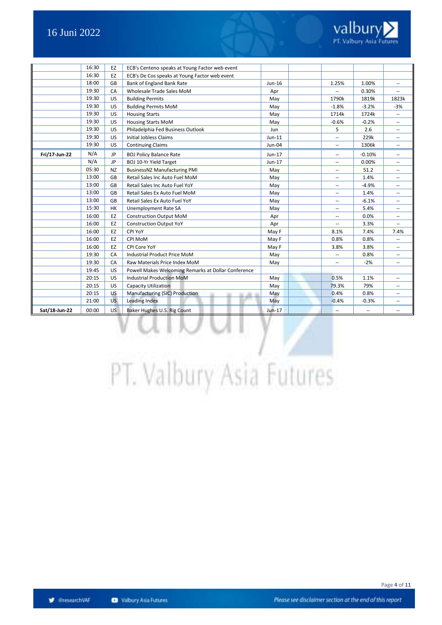

|               | 16:30 | EZ        | ECB's Centeno speaks at Young Factor web event      |          |                          |                          |                          |
|---------------|-------|-----------|-----------------------------------------------------|----------|--------------------------|--------------------------|--------------------------|
|               | 16:30 | EZ        | ECB's De Cos speaks at Young Factor web event       |          |                          |                          |                          |
|               | 18:00 | GB        | Bank of England Bank Rate                           | Jun-16   | 1.25%                    | 1.00%                    | $\overline{\phantom{a}}$ |
|               | 19:30 | CA        | Wholesale Trade Sales MoM                           | Apr      |                          | 0.30%                    | $\overline{a}$           |
|               | 19:30 | US        | <b>Building Permits</b>                             | May      | 1790k                    | 1819k                    | 1823k                    |
|               | 19:30 | <b>US</b> | <b>Building Permits MoM</b>                         | May      | $-1.8%$                  | $-3.2%$                  | $-3%$                    |
|               | 19:30 | <b>US</b> | <b>Housing Starts</b>                               | May      | 1714k                    | 1724k                    | --                       |
|               | 19:30 | US        | <b>Housing Starts MoM</b>                           | May      | $-0.6%$                  | $-0.2%$                  | $\overline{\phantom{a}}$ |
|               | 19:30 | US        | Philadelphia Fed Business Outlook                   | Jun      | 5                        | 2.6                      | $\overline{\phantom{a}}$ |
|               | 19:30 | US        | <b>Initial Jobless Claims</b>                       | $Jun-11$ | --                       | 229k                     | $\overline{\phantom{a}}$ |
|               | 19:30 | US        | <b>Continuing Claims</b>                            | $Jun-04$ | --                       | 1306k                    | $-$                      |
| Fri/17-Jun-22 | N/A   | <b>JP</b> | <b>BOJ Policy Balance Rate</b>                      | Jun-17   | --                       | $-0.10%$                 | $\overline{\phantom{a}}$ |
|               | N/A   | <b>JP</b> | <b>BOJ 10-Yr Yield Target</b>                       | Jun-17   | --                       | 0.00%                    | --                       |
|               | 05:30 | <b>NZ</b> | <b>BusinessNZ Manufacturing PMI</b>                 | May      | ۰.                       | 51.2                     | ÷                        |
|               | 13:00 | GB        | Retail Sales Inc Auto Fuel MoM                      | May      | --                       | 1.4%                     | $\overline{\phantom{a}}$ |
|               | 13:00 | GB        | Retail Sales Inc Auto Fuel YoY                      | May      | --                       | $-4.9%$                  | --                       |
|               | 13:00 | GB        | Retail Sales Ex Auto Fuel MoM                       | May      | --                       | 1.4%                     | $\overline{\phantom{a}}$ |
|               | 13:00 | GB        | Retail Sales Ex Auto Fuel YoY                       | May      | $\overline{a}$           | $-6.1%$                  |                          |
|               | 15:30 | <b>HK</b> | Unemployment Rate SA                                | May      | --                       | 5.4%                     | $\overline{\phantom{a}}$ |
|               | 16:00 | EZ        | <b>Construction Output MoM</b>                      | Apr      | --                       | 0.0%                     | $\overline{\phantom{a}}$ |
|               | 16:00 | EZ        | <b>Construction Output YoY</b>                      | Apr      | --                       | 3.3%                     | --                       |
|               | 16:00 | EZ        | CPI YoY                                             | May F    | 8.1%                     | 7.4%                     | 7.4%                     |
|               | 16:00 | EZ        | CPI MoM                                             | May F    | 0.8%                     | 0.8%                     | --                       |
|               | 16:00 | EZ        | CPI Core YoY                                        | May F    | 3.8%                     | 3.8%                     | $\overline{a}$           |
|               | 19:30 | CA        | Industrial Product Price MoM                        | May      |                          | 0.8%                     | $\overline{a}$           |
|               | 19:30 | CA        | Raw Materials Price Index MoM                       | May      | --                       | $-2%$                    | $\sim$                   |
|               | 19:45 | US        | Powell Makes Welcoming Remarks at Dollar Conference |          |                          |                          |                          |
|               | 20:15 | US        | <b>Industrial Production MoM</b>                    | May      | 0.5%                     | 1.1%                     | ۰.                       |
|               | 20:15 | US        | Capacity Utilization                                | May      | 79.3%                    | 79%                      | ÷                        |
|               | 20:15 | US        | Manufacturing (SIC) Production<br>-                 | May      | 0.4%                     | 0.8%                     | ÷                        |
|               | 21:00 | <b>US</b> | Leading Index                                       | May      | $-0.4%$                  | $-0.3%$                  | $\overline{\phantom{a}}$ |
| Sat/18-Jun-22 | 00:00 | <b>US</b> | Baker Hughes U.S. Rig Count                         | $Jun-17$ | $\overline{\phantom{a}}$ | $\overline{\phantom{a}}$ | --                       |

# PT. Valbury Asia Futures

š

IJ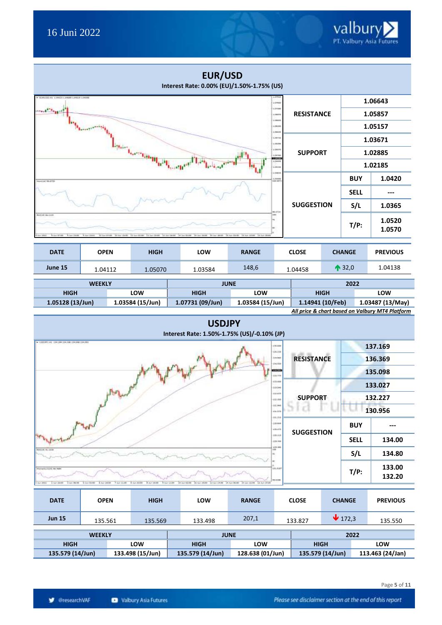|                                           |                                             |                                     | <b>EUR/USD</b><br>Interest Rate: 0.00% (EU)/1.50%-1.75% (US) |                           |                                    |                   |                  |                  |                                                                     |
|-------------------------------------------|---------------------------------------------|-------------------------------------|--------------------------------------------------------------|---------------------------|------------------------------------|-------------------|------------------|------------------|---------------------------------------------------------------------|
|                                           |                                             |                                     |                                                              |                           | LIZINGO<br>Littan                  |                   |                  |                  | 1.06643                                                             |
|                                           |                                             |                                     |                                                              |                           | 1.06777<br>1.00mm                  | <b>RESISTANCE</b> |                  |                  | 1.05857                                                             |
|                                           |                                             |                                     |                                                              |                           | 1,00340<br>LOATE<br>Literat        |                   |                  |                  | 1.05157                                                             |
|                                           |                                             |                                     |                                                              |                           | LOUIS<br>LOSER                     |                   |                  |                  | 1.03671                                                             |
|                                           |                                             | <b>Learning Head</b>                |                                                              |                           | Livene<br><b>BENNIN</b><br>1.04448 | <b>SUPPORT</b>    |                  |                  | 1.02885                                                             |
|                                           |                                             |                                     |                                                              |                           | zoten<br>ism                       |                   |                  |                  | 1.02185                                                             |
| <b>UCH-ITS</b>                            |                                             |                                     |                                                              |                           | 1,02930                            |                   |                  | <b>BUY</b>       | 1.0420                                                              |
|                                           |                                             |                                     |                                                              |                           |                                    | <b>SUGGESTION</b> |                  | <b>SELL</b>      | ---                                                                 |
| 10134-061220                              |                                             |                                     |                                                              |                           | 10.2730<br>200                     |                   |                  | S/L              | 1.0365                                                              |
| It has bright<br>A Art 2010<br>2041       | like more into<br>9 Jan 29-81<br>It is this | 02:00 - 11 Inc 12:00 - 12 Inc 13:00 | 14 Sec 28 OF<br><b>SP Sec</b><br>$24.2$ and $32$             | 18.No 03-00<br>It he impo |                                    |                   |                  | $T/P$ :          | 1.0520<br>1.0570                                                    |
| <b>DATE</b>                               | <b>OPEN</b>                                 | <b>HIGH</b>                         | <b>LOW</b>                                                   | <b>RANGE</b>              |                                    | <b>CLOSE</b>      | <b>CHANGE</b>    |                  | <b>PREVIOUS</b>                                                     |
| June 15                                   | 1.04112                                     | 1.05070                             | 1.03584                                                      | 148,6                     |                                    | 1.04458           |                  | $\bigwedge$ 32,0 | 1.04138                                                             |
|                                           | <b>WEEKLY</b>                               |                                     |                                                              | <b>JUNE</b>               |                                    |                   |                  | 2022             |                                                                     |
| <b>HIGH</b>                               |                                             | LOW                                 | <b>HIGH</b>                                                  | LOW                       |                                    |                   | <b>HIGH</b>      |                  | LOW                                                                 |
| 1.05128 (13/Jun)                          |                                             | 1.03584 (15/Jun)                    | 1.07731 (09/Jun)                                             | 1.03584 (15/Jun)          |                                    |                   | 1.14941 (10/Feb) |                  | 1.03487 (13/May)<br>All price & chart based on Valbury MT4 Platform |
|                                           |                                             |                                     | <b>USDJPY</b><br>Interest Rate: 1.50%-1.75% (US)/-0.10% (JP) |                           |                                    |                   |                  |                  |                                                                     |
| U2009 CAL 135.100 135.000 135.000 135.000 |                                             |                                     |                                                              |                           | 16.886<br>125,235                  |                   |                  |                  | 137.169                                                             |
|                                           |                                             |                                     |                                                              |                           | treini<br>34,033                   | <b>RESISTANCE</b> |                  |                  | 136.369                                                             |
|                                           |                                             |                                     |                                                              |                           | <b>MERICO</b><br>194.79            |                   |                  |                  | 135.098                                                             |
|                                           |                                             |                                     |                                                              |                           | (23.449<br>iniser                  |                   |                  |                  | 133.027                                                             |
|                                           | $\mathbb{R}$                                |                                     |                                                              |                           | (42.59)                            | <b>SUPPORT</b>    |                  |                  | 132.227                                                             |
|                                           |                                             |                                     |                                                              |                           | 10.94<br><b>HARR</b>               |                   |                  |                  | 130.956                                                             |
|                                           |                                             |                                     |                                                              |                           | 414,318<br>125, 004<br>sissis      | <b>SUGGESTION</b> |                  | <b>BUY</b>       | ---                                                                 |
| Port of La                                |                                             |                                     |                                                              |                           | 486.118<br>129.946                 |                   |                  | <b>SELL</b>      | 134.00                                                              |
| 491145-41114                              |                                             |                                     |                                                              |                           | 128,282                            |                   |                  | S/L              | 134.80                                                              |
| 45-121-24-122                             |                                             |                                     |                                                              |                           | 101.8181                           |                   |                  | $T/P$ :          | 133.00<br>132.20                                                    |

| <b>DATE</b>   | <b>OPEN</b>   | <b>HIGH</b> | LOW         | <b>RANGE</b> | <b>CLOSE</b> | <b>CHANGE</b>               | <b>PREVIOUS</b> |  |
|---------------|---------------|-------------|-------------|--------------|--------------|-----------------------------|-----------------|--|
| <b>Jun 15</b> | 135.561       | 135.569     | 133.498     | 207,1        | 133.827      | $\blacktriangleright$ 172,3 | 135.550         |  |
|               | <b>WEEKLY</b> |             |             | <b>JUNE</b>  |              |                             | 2022            |  |
| <b>HIGH</b>   |               | <b>LOW</b>  | <b>HIGH</b> | LOW          |              | <b>HIGH</b>                 | LOW             |  |

 **135.579 (14/Jun) 133.498 (15/Jun) 135.579 (14/Jun) 128.638 (01/Jun) 135.579 (14/Jun) 113.463 (24/Jan)**

The men the most

 $\frac{1}{2}$  for 1970.

 $\frac{1}{10}$  is

The Hot The Not

**y** @researchVAF

**A ber Hown**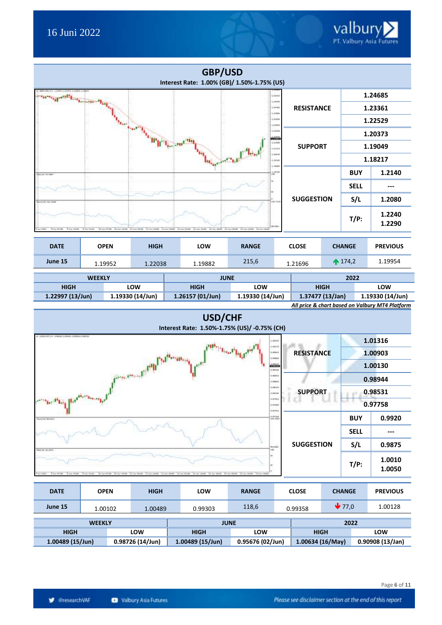

| <b>HIGH</b>        | .ow                | <b>HIGH</b>        | LOW              | <b>HIGH</b>                                     | LOW              |
|--------------------|--------------------|--------------------|------------------|-------------------------------------------------|------------------|
| $1.22997(13/$ Jun) | $1.19330(14/$ Jun) | $1.26157(01/$ Jun) | 1.19330 (14/Jun) | 1.37477 (13/Jan)                                | 1.19330 (14/Jun) |
|                    |                    |                    |                  | All price & chart based on Valbury MT4 Platform |                  |





| <b>DATE</b>        | <b>OPEN</b>      | <b>HIGH</b> | LOW             | <b>RANGE</b>     | <b>CLOSE</b>       | <b>CHANGE</b>               |     | <b>PREVIOUS</b> |
|--------------------|------------------|-------------|-----------------|------------------|--------------------|-----------------------------|-----|-----------------|
| June 15            | 1.00102          | 1.00489     | 0.99303         | 118,6            | 0.99358            | $\blacktriangledown_{77.0}$ |     | 1.00128         |
|                    | <b>WEEKLY</b>    |             |                 | <b>JUNE</b>      |                    | 2022                        |     |                 |
| <b>HIGH</b>        |                  | LOW         | <b>HIGH</b>     | <b>LOW</b>       | <b>HIGH</b>        |                             | LOW |                 |
| $1.00489(15/$ Jun) | 0.98726 (14/Jun) |             | 1.00489(15/Jun) | 0.95676 (02/Jun) | 1.00634 $(16/May)$ |                             |     | 0.90908(13/Jan) |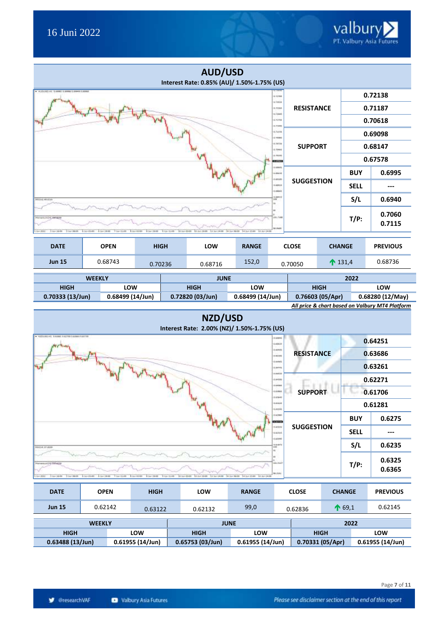|                                                          |                                                 |                                            | <b>AUD/USD</b><br>Interest Rate: 0.85% (AU)/ 1.50%-1.75% (US)          |              |                                 |                   |  |                   |                  |  |
|----------------------------------------------------------|-------------------------------------------------|--------------------------------------------|------------------------------------------------------------------------|--------------|---------------------------------|-------------------|--|-------------------|------------------|--|
| + AUDORD HI - 5 49981 5 6996 1 2000 0.0000               |                                                 |                                            |                                                                        |              | <b>MARKET</b><br>A-22446        |                   |  |                   | 0.72138          |  |
|                                                          |                                                 |                                            |                                                                        |              | a ratio<br>6.03268<br>n/case    | <b>RESISTANCE</b> |  |                   | 0.71187          |  |
|                                                          |                                                 |                                            |                                                                        |              | 6,70788<br>5-75410              |                   |  |                   | 0.70618          |  |
|                                                          |                                                 |                                            |                                                                        |              | 6.7418<br>170941                |                   |  |                   | 0.69098          |  |
|                                                          | 6-76Tax<br>6.70466<br>0.79399<br><b>EXISTEN</b> |                                            |                                                                        |              |                                 |                   |  | 0.68147           |                  |  |
|                                                          |                                                 |                                            |                                                                        |              |                                 |                   |  |                   | 0.67578          |  |
|                                                          |                                                 |                                            |                                                                        |              | comm<br>0.49616<br><b>GREEK</b> |                   |  | <b>BUY</b>        | 0.6995           |  |
|                                                          |                                                 |                                            |                                                                        |              | <b>GANVER</b><br>1.0000         | <b>SUGGESTION</b> |  | <b>SELL</b>       |                  |  |
| ASSOCIATED                                               |                                                 |                                            |                                                                        |              | 0.44415<br>3mt                  |                   |  | S/L               | 0.6940           |  |
| ANTI-TILL R. LAND AD AN<br>3 hat 180.00<br>3.3cm 140.000 | h ho 01400<br>4.3+18.00<br>7 list 11:00:        | 9 Am (1166)<br>A Jun 83180<br>18 Aug 19 UH | Who COST   R.A. (1998). 13 ha 14:00 34:16:00 14:1-1 (2012) 13:3-1-1-20 |              | you, take<br><b>VE-PARK</b>     |                   |  | $T/P$ :           | 0.7060<br>0.7115 |  |
| <b>DATE</b>                                              | <b>OPEN</b>                                     | <b>HIGH</b>                                | LOW                                                                    | <b>RANGE</b> |                                 | <b>CLOSE</b>      |  | <b>CHANGE</b>     | <b>PREVIOUS</b>  |  |
| <b>Jun 15</b>                                            | 0.68743                                         | 0.70236                                    | 0.68716                                                                | 152,0        |                                 | 0.70050           |  | $\bigwedge$ 131,4 | 0.68736          |  |
|                                                          | <b>WEEKIY</b>                                   |                                            | <b>ILINE</b>                                                           |              |                                 |                   |  | 2022              |                  |  |

| <b>WEEKLY</b>      |                  | <b>JUNE</b>      |                 | 2022                                             |                  |
|--------------------|------------------|------------------|-----------------|--------------------------------------------------|------------------|
| HIGH               | .ow              | <b>HIGH</b>      | LOW             | <b>HIGH</b>                                      | <b>LOW</b>       |
| $0.70333(13/$ Jun) | 0.68499 (14/Jun) | 0.72820 (03/Jun) | 0.68499(14/Jun) | 0.76603(05/Apr)                                  | 0.68280 (12/May) |
|                    |                  |                  |                 | All price B chart becad on Valkun: BATA Blatform |                  |



| <b>DATE</b>                              | <b>OPEN</b>   | <b>HIGH</b> | <b>LOW</b>      | <b>RANGE</b>       | <b>CLOSE</b> | <b>CHANGE</b>            |                        | <b>PREVIOUS</b> |  |
|------------------------------------------|---------------|-------------|-----------------|--------------------|--------------|--------------------------|------------------------|-----------------|--|
| <b>Jun 15</b>                            | 0.62142       | 0.63122     | 0.62132         | 99,0               | 0.62836      | $\bigwedge$ 69.1         |                        | 0.62145         |  |
|                                          | <b>WEEKLY</b> |             |                 | <b>JUNE</b>        |              |                          | LOW<br>0.61955(14/Jun) |                 |  |
| <b>HIGH</b>                              |               | LOW         | <b>HIGH</b>     | LOW                | <b>HIGH</b>  |                          |                        |                 |  |
| $0.61955(14/$ Jun)<br>$0.63488(13/$ Jun) |               |             | 0.65753(03/Jun) | $0.61955(14/$ Jun) |              | 2022<br>0.70331 (05/Apr) |                        |                 |  |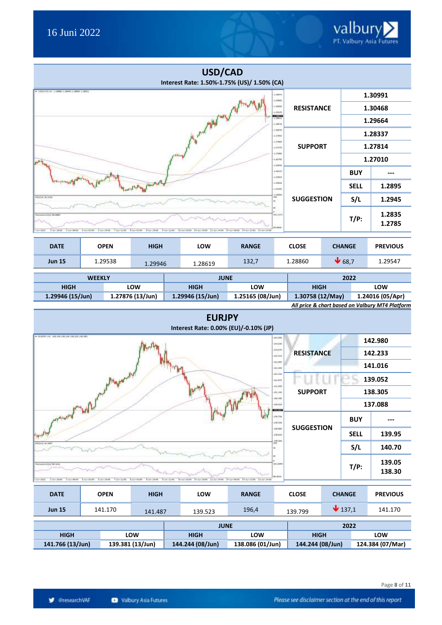|                                                                   |                                                       |                                                                                        | USD/CAD<br>Interest Rate: 1.50%-1.75% (US)/ 1.50% (CA) |                           |                             |                   |         |                  |                 |  |
|-------------------------------------------------------------------|-------------------------------------------------------|----------------------------------------------------------------------------------------|--------------------------------------------------------|---------------------------|-----------------------------|-------------------|---------|------------------|-----------------|--|
| + USSCAD-HL STRIKE LIBHO STRIKE LIBITS                            |                                                       |                                                                                        |                                                        |                           | 1.09976<br>$+28881$         |                   |         |                  | 1.30991         |  |
|                                                                   |                                                       |                                                                                        | <b>Philip<sup>rise</sup></b>                           |                           | 4.29999<br>1,2818.          | <b>RESISTANCE</b> |         |                  | 1.30468         |  |
|                                                                   |                                                       |                                                                                        |                                                        | 130220<br>4,38139         |                             |                   |         | 1.29664          |                 |  |
|                                                                   | 1, 29146<br>4.27886                                   |                                                                                        |                                                        |                           |                             |                   |         |                  | 1.28337         |  |
|                                                                   |                                                       |                                                                                        |                                                        |                           | 1.17946<br>come             | <b>SUPPORT</b>    |         | 1.27814          |                 |  |
|                                                                   |                                                       |                                                                                        |                                                        |                           | 1,2798<br>$+36366$<br>1,999 |                   |         |                  | 1.27010         |  |
|                                                                   |                                                       |                                                                                        |                                                        |                           | 126318<br>4,09928           |                   |         | <b>BUY</b>       | ---             |  |
|                                                                   |                                                       |                                                                                        |                                                        |                           | 1,7444<br>1,25369           |                   |         | <b>SELL</b>      | 1.2895          |  |
| 10121-0-022                                                       |                                                       |                                                                                        |                                                        |                           | 1.36000<br>÷                | <b>SUGGESTION</b> |         | S/L              | 1.2945          |  |
| WILLIAM 95-5999<br><b>Ave Stritt</b><br>1.5m 14.00<br>3-240 99300 | 8. Bull (20-89)<br>8.3pt 18:00<br><b>7. San 11/00</b> | 10.1pr (500) 14.3pt (1930) 12.3pt (4.00)<br>8 Jun 91100<br>8.3ml (1919)<br>9 Am (1/69) | 34.3a+56/00<br>14 Jun 22100 18 Jun 14-dit              | 101.021<br><b>Jo.1936</b> |                             |                   | $T/P$ : | 1.2835<br>1.2785 |                 |  |
| <b>DATE</b>                                                       | <b>OPEN</b>                                           | <b>HIGH</b>                                                                            | LOW                                                    | <b>RANGE</b>              |                             | <b>CLOSE</b>      |         | <b>CHANGE</b>    | <b>PREVIOUS</b> |  |
| <b>Jun 15</b>                                                     | 1.29538                                               | 1.29946                                                                                | 1.28619                                                | 132,7                     |                             | 1.28860           |         | $\bigvee$ 68,7   | 1.29547         |  |

| <b>WEEKLY</b>                                   |                  | <b>JUNE</b>      |                  | 2022             |                  |  |  |
|-------------------------------------------------|------------------|------------------|------------------|------------------|------------------|--|--|
| <b>HIGH</b>                                     | LOW              | <b>HIGH</b>      | LOW              | <b>HIGH</b>      | LOW              |  |  |
| 1.29946 (15/Jun)                                | 1.27876 (13/Jun) | 1.29946 (15/Jun) | 1.25165 (08/Jun) | 1.30758 (12/May) | 1.24016 (05/Apr) |  |  |
| All price & chart based on Valbury MT4 Platform |                  |                  |                  |                  |                  |  |  |



| <b>DATE</b>      |  | <b>OPEN</b> | <b>HIGH</b>      |  | LOW              | <b>RANGE</b>     | <b>CLOSE</b>     | <b>CHANGE</b>               |     | <b>PREVIOUS</b>  |
|------------------|--|-------------|------------------|--|------------------|------------------|------------------|-----------------------------|-----|------------------|
| <b>Jun 15</b>    |  | 141.170     | 141.487          |  | 139.523          | 196,4            | 139.799          | $\blacktriangleright$ 137,1 |     | 141.170          |
|                  |  |             |                  |  | <b>JUNE</b>      |                  |                  | 2022                        |     |                  |
| <b>HIGH</b>      |  |             | LOW              |  | <b>HIGH</b>      | <b>LOW</b>       | <b>HIGH</b>      |                             | LOW |                  |
| 141.766 (13/Jun) |  |             | 139.381 (13/Jun) |  | 144.244 (08/Jun) | 138.086 (01/Jun) | 144.244 (08/Jun) |                             |     | 124.384 (07/Mar) |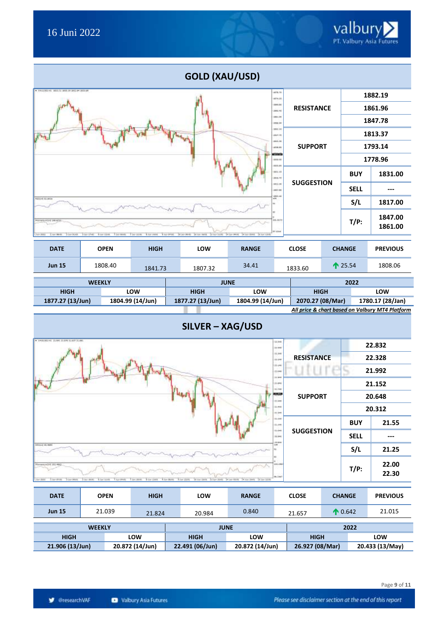| <b>GOLD (XAU/USD)</b>                                               |                                |             |                                                                   |                   |                              |                   |         |                  |                 |  |
|---------------------------------------------------------------------|--------------------------------|-------------|-------------------------------------------------------------------|-------------------|------------------------------|-------------------|---------|------------------|-----------------|--|
| . SAUCRO HO HELLIS SEELER SECURE SEELER                             |                                |             |                                                                   |                   | 4476.79<br>$+476.33$         |                   |         |                  | 1882.19         |  |
|                                                                     |                                |             | 1485.80<br>1883.40                                                | <b>RESISTANCE</b> |                              |                   | 1861.96 |                  |                 |  |
|                                                                     | $\mathbb{R}^{N_{\text{high}}}$ |             |                                                                   |                   |                              |                   |         | 1847.78          |                 |  |
|                                                                     |                                |             |                                                                   |                   |                              |                   |         | 1813.37          |                 |  |
|                                                                     |                                |             |                                                                   |                   |                              |                   |         | 1793.14          |                 |  |
|                                                                     |                                |             |                                                                   |                   | ationis<br>1216-10<br>453,81 |                   |         |                  | 1778.96         |  |
|                                                                     |                                |             |                                                                   |                   | 4811.11<br>JEER PE           |                   |         | <b>BUY</b>       | 1831.00         |  |
|                                                                     |                                |             |                                                                   |                   | 1011.36<br>1961.95           | <b>SUGGESTION</b> |         | <b>SELL</b>      |                 |  |
| ADDIRECTM                                                           |                                |             |                                                                   |                   | 1861.60<br>aliti             |                   |         | S/L              | 1817.00         |  |
| PARTS PELR) 1981-4722.<br>3.501.01.01.<br>2 lot 50-51.<br>3cm 254.2 | 126.8477<br><b>81.43md</b>     |             |                                                                   | $T/P$ :           | 1847.00<br>1861.00           |                   |         |                  |                 |  |
|                                                                     |                                |             | 38 30-9000 30 So 1401 13 to 1101 34 So 94th 14 So 1201 13 So 1201 |                   |                              |                   |         |                  |                 |  |
| <b>DATE</b>                                                         | <b>OPEN</b>                    | <b>HIGH</b> | LOW                                                               | <b>RANGE</b>      |                              | <b>CLOSE</b>      |         | <b>CHANGE</b>    | <b>PREVIOUS</b> |  |
| <b>Jun 15</b>                                                       | 1808.40                        | 1841.73     | 1807.32                                                           | 34.41             |                              | 1833.60           |         | $\uparrow$ 25.54 | 1808.06         |  |

| <b>WEEKLY</b>    |                  |                    | 2022<br><b>JUNE</b> |                  |                  |
|------------------|------------------|--------------------|---------------------|------------------|------------------|
| HIGH             | LOW              | <b>HIGH</b>        | LOW                 | <b>HIGH</b>      | LOW              |
| 1877.27 (13/Jun) | 1804.99 (14/Jun) | $1877.27(13/$ Jun) | 1804.99 (14/Jun)    | 2070.27 (08/Mar) | 1780.17 (28/Jan) |



| <b>DATE</b>     | <b>OPEN</b>   | <b>HIGH</b>     | LOW             | <b>RANGE</b>    | <b>CLOSE</b>    | <b>CHANGE</b>     | <b>PREVIOUS</b> |  |
|-----------------|---------------|-----------------|-----------------|-----------------|-----------------|-------------------|-----------------|--|
| <b>Jun 15</b>   | 21.039        | 21.824          | 20.984          | 0.840           | 21.657          | $\bigwedge 0.642$ | 21.015          |  |
|                 | <b>WEEKLY</b> |                 | <b>JUNE</b>     |                 | 2022            |                   |                 |  |
| <b>HIGH</b>     |               | LOW             | <b>HIGH</b>     | LOW             | <b>HIGH</b>     |                   | LOW             |  |
| 21.906 (13/Jun) |               | 20.872 (14/Jun) | 22.491 (06/Jun) | 20.872 (14/Jun) | 26.927 (08/Mar) |                   | 20.433 (13/May) |  |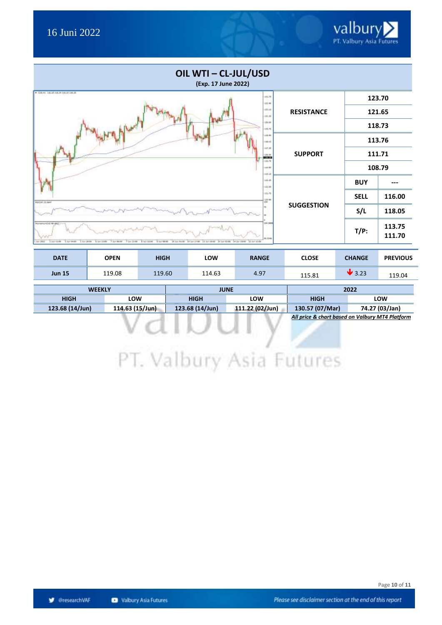| OIL WTI - CL-JUL/USD<br>(Exp. 17 June 2022)                                                                                                                                                                                                  |                   |             |                  |
|----------------------------------------------------------------------------------------------------------------------------------------------------------------------------------------------------------------------------------------------|-------------------|-------------|------------------|
| $-$ CAN TRUE (1) 3 100 F DR 1<br>(11.78)<br>022.96                                                                                                                                                                                           |                   |             | 123.70           |
| (11.18)<br>121.00                                                                                                                                                                                                                            | <b>RESISTANCE</b> | 121.65      |                  |
| 131.00<br>125.76                                                                                                                                                                                                                             |                   | 118.73      |                  |
| 138.86<br>146.46                                                                                                                                                                                                                             |                   | 113.76      |                  |
| ezr.at<br>136.95<br>maa                                                                                                                                                                                                                      | <b>SUPPORT</b>    | 111.71      |                  |
| in.n<br>111.00<br>638.38                                                                                                                                                                                                                     |                   | 108.79      |                  |
| 144.88<br>111.38                                                                                                                                                                                                                             |                   | <b>BUY</b>  |                  |
| 133,791<br>130.88<br><b>RSILIAL 33 Bast</b>                                                                                                                                                                                                  |                   | <b>SELL</b> | 116.00           |
|                                                                                                                                                                                                                                              | <b>SUGGESTION</b> | S/L         | 118.05           |
| 104.541<br>Monartuncial 98-2427.<br>44,5346<br>Ay later<br>MALASHI 19 NO 1798 - 13 NO 1898<br>Je juli 45:00<br>14 Jun Atold<br>1.167.20100<br>4.44.1590<br>7 July 244-945<br>B lash kilomet<br>T Air 100-000<br>14 Jul 1910<br>Auto Ad offer |                   | $T/P$ :     | 113.75<br>111.70 |

| <b>DATE</b>   | <b>OPEN</b> | <b>HIGH</b> | <b>LOW</b> | <b>RANGE</b> | <b>CLOSE</b> | <b>CHANGE</b>              | <b>PREVIOUS</b> |
|---------------|-------------|-------------|------------|--------------|--------------|----------------------------|-----------------|
| <b>Jun 15</b> | 119.08      | 119.60      | 114.63     | 4.97         | 115.81       | $\blacktriangleright$ 3.23 | 119.04          |

| <b>WEEKLY</b>   |                 |                 | <b>JUNE</b>     | 2022            |                |  |
|-----------------|-----------------|-----------------|-----------------|-----------------|----------------|--|
| <b>HIGH</b>     | <b>LOW</b>      | <b>HIGH</b>     | LOW             | <b>HIGH</b>     | LOW            |  |
| 123.68 (14/Jun) | 114.63 (15/Jun) | 123.68 (14/Jun) | 111.22 (02/Jun) | 130.57 (07/Mar) | 74.27 (03/Jan) |  |
|                 |                 |                 |                 |                 | .<br>.         |  |

*All price & chart based on Valbury MT4 Platform*